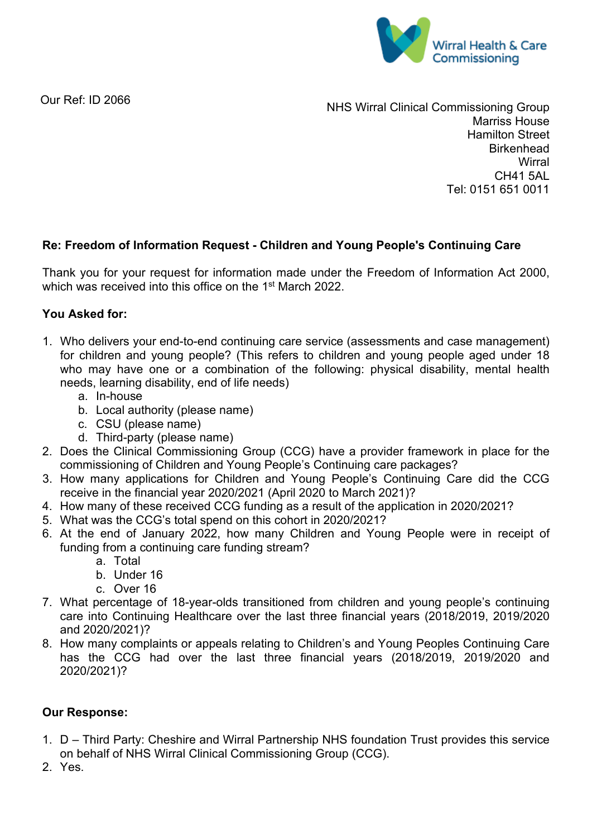

Our Ref: ID 2066

NHS Wirral Clinical Commissioning Group Marriss House Hamilton Street **Birkenhead Wirral** CH41 5AL Tel: 0151 651 0011

## **Re: Freedom of Information Request - Children and Young People's Continuing Care**

Thank you for your request for information made under the Freedom of Information Act 2000, which was received into this office on the 1<sup>st</sup> March 2022.

## **You Asked for:**

- 1. Who delivers your end-to-end continuing care service (assessments and case management) for children and young people? (This refers to children and young people aged under 18 who may have one or a combination of the following: physical disability, mental health needs, learning disability, end of life needs)
	- a. In-house
	- b. Local authority (please name)
	- c. CSU (please name)
	- d. Third-party (please name)
- 2. Does the Clinical Commissioning Group (CCG) have a provider framework in place for the commissioning of Children and Young People's Continuing care packages?
- 3. How many applications for Children and Young People's Continuing Care did the CCG receive in the financial year 2020/2021 (April 2020 to March 2021)?
- 4. How many of these received CCG funding as a result of the application in 2020/2021?
- 5. What was the CCG's total spend on this cohort in 2020/2021?
- 6. At the end of January 2022, how many Children and Young People were in receipt of funding from a continuing care funding stream?
	- a. Total
	- b. Under 16
	- c. Over 16
- 7. What percentage of 18-year-olds transitioned from children and young people's continuing care into Continuing Healthcare over the last three financial years (2018/2019, 2019/2020 and 2020/2021)?
- 8. How many complaints or appeals relating to Children's and Young Peoples Continuing Care has the CCG had over the last three financial years (2018/2019, 2019/2020 and 2020/2021)?

## **Our Response:**

- 1. D Third Party: Cheshire and Wirral Partnership NHS foundation Trust provides this service on behalf of NHS Wirral Clinical Commissioning Group (CCG).
- 2. Yes.